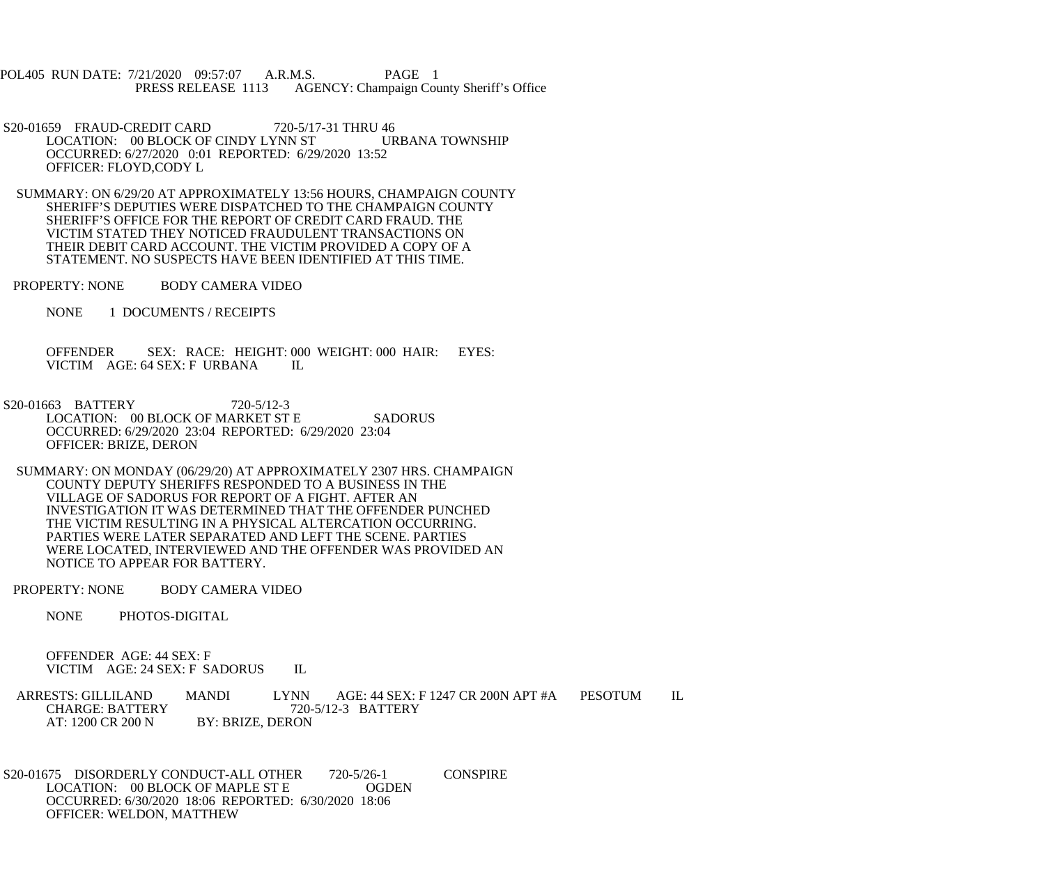POL405 RUN DATE: 7/21/2020 09:57:07 A.R.M.S. PAGE 1<br>PRESS RELEASE 1113 AGENCY: Champaign Cou AGENCY: Champaign County Sheriff's Office

- S20-01659 FRAUD-CREDIT CARD 720-5/17-31 THRU 46<br>LOCATION: 00 BLOCK OF CINDY LYNN ST URBANA TOWNSHIP LOCATION: 00 BLOCK OF CINDY LYNN ST OCCURRED: 6/27/2020 0:01 REPORTED: 6/29/2020 13:52 OFFICER: FLOYD,CODY L
- SUMMARY: ON 6/29/20 AT APPROXIMATELY 13:56 HOURS, CHAMPAIGN COUNTY SHERIFF'S DEPUTIES WERE DISPATCHED TO THE CHAMPAIGN COUNTY SHERIFF'S OFFICE FOR THE REPORT OF CREDIT CARD FRAUD. THE VICTIM STATED THEY NOTICED FRAUDULENT TRANSACTIONS ON THEIR DEBIT CARD ACCOUNT. THE VICTIM PROVIDED A COPY OF A STATEMENT. NO SUSPECTS HAVE BEEN IDENTIFIED AT THIS TIME.
- PROPERTY: NONE BODY CAMERA VIDEO
	- NONE 1 DOCUMENTS / RECEIPTS

 OFFENDER SEX: RACE: HEIGHT: 000 WEIGHT: 000 HAIR: EYES: VICTIM AGE: 64 SEX: F URBANA IL

- S20-01663 BATTERY 720-5/12-3 LOCATION: 00 BLOCK OF MARKET ST E SADORUS OCCURRED: 6/29/2020 23:04 REPORTED: 6/29/2020 23:04 OFFICER: BRIZE, DERON
- SUMMARY: ON MONDAY (06/29/20) AT APPROXIMATELY 2307 HRS. CHAMPAIGN COUNTY DEPUTY SHERIFFS RESPONDED TO A BUSINESS IN THE VILLAGE OF SADORUS FOR REPORT OF A FIGHT. AFTER AN INVESTIGATION IT WAS DETERMINED THAT THE OFFENDER PUNCHED THE VICTIM RESULTING IN A PHYSICAL ALTERCATION OCCURRING. PARTIES WERE LATER SEPARATED AND LEFT THE SCENE. PARTIES WERE LOCATED, INTERVIEWED AND THE OFFENDER WAS PROVIDED AN NOTICE TO APPEAR FOR BATTERY.
- PROPERTY: NONE BODY CAMERA VIDEO
	- NONE PHOTOS-DIGITAL

 OFFENDER AGE: 44 SEX: F VICTIM AGE: 24 SEX: F SADORUS IL

ARRESTS: GILLILAND MANDI LYNN AGE: 44 SEX: F 1247 CR 200N APT #A PESOTUM IL CHARGE: BATTERY 720-5/12-3 BATTERY CHARGE: BATTERY<br>AT: 1200 CR 200 N BY: BRIZE, DERON

S20-01675 DISORDERLY CONDUCT-ALL OTHER 720-5/26-1 CONSPIRE<br>LOCATION: 00 BLOCK OF MAPLE ST E OGDEN LOCATION: 00 BLOCK OF MAPLE ST E OCCURRED: 6/30/2020 18:06 REPORTED: 6/30/2020 18:06 OFFICER: WELDON, MATTHEW